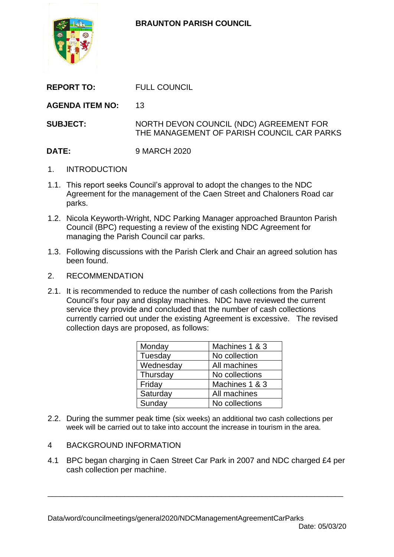## **BRAUNTON PARISH COUNCIL**



| <b>REPORT TO:</b>      | <b>FULL COUNCIL</b>                                                                   |
|------------------------|---------------------------------------------------------------------------------------|
| <b>AGENDA ITEM NO:</b> | 13                                                                                    |
| <b>SUBJECT:</b>        | NORTH DEVON COUNCIL (NDC) AGREEMENT FOR<br>THE MANAGEMENT OF PARISH COUNCIL CAR PARKS |
| <b>DATE:</b>           | 9 MARCH 2020                                                                          |

- 1. INTRODUCTION
- 1.1. This report seeks Council's approval to adopt the changes to the NDC Agreement for the management of the Caen Street and Chaloners Road car parks.
- 1.2. Nicola Keyworth-Wright, NDC Parking Manager approached Braunton Parish Council (BPC) requesting a review of the existing NDC Agreement for managing the Parish Council car parks.
- 1.3. Following discussions with the Parish Clerk and Chair an agreed solution has been found.
- 2. RECOMMENDATION
- 2.1. It is recommended to reduce the number of cash collections from the Parish Council's four pay and display machines. NDC have reviewed the current service they provide and concluded that the number of cash collections currently carried out under the existing Agreement is excessive. The revised collection days are proposed, as follows:

| Monday    | Machines 1 & 3 |  |  |
|-----------|----------------|--|--|
| Tuesday   | No collection  |  |  |
| Wednesday | All machines   |  |  |
| Thursday  | No collections |  |  |
| Friday    | Machines 1 & 3 |  |  |
| Saturday  | All machines   |  |  |
| Sunday    | No collections |  |  |

- 2.2. During the summer peak time (six weeks) an additional two cash collections per week will be carried out to take into account the increase in tourism in the area.
- 4 BACKGROUND INFORMATION
- 4.1 BPC began charging in Caen Street Car Park in 2007 and NDC charged £4 per cash collection per machine.

\_\_\_\_\_\_\_\_\_\_\_\_\_\_\_\_\_\_\_\_\_\_\_\_\_\_\_\_\_\_\_\_\_\_\_\_\_\_\_\_\_\_\_\_\_\_\_\_\_\_\_\_\_\_\_\_\_\_\_\_\_\_\_\_\_\_\_\_\_\_\_\_\_